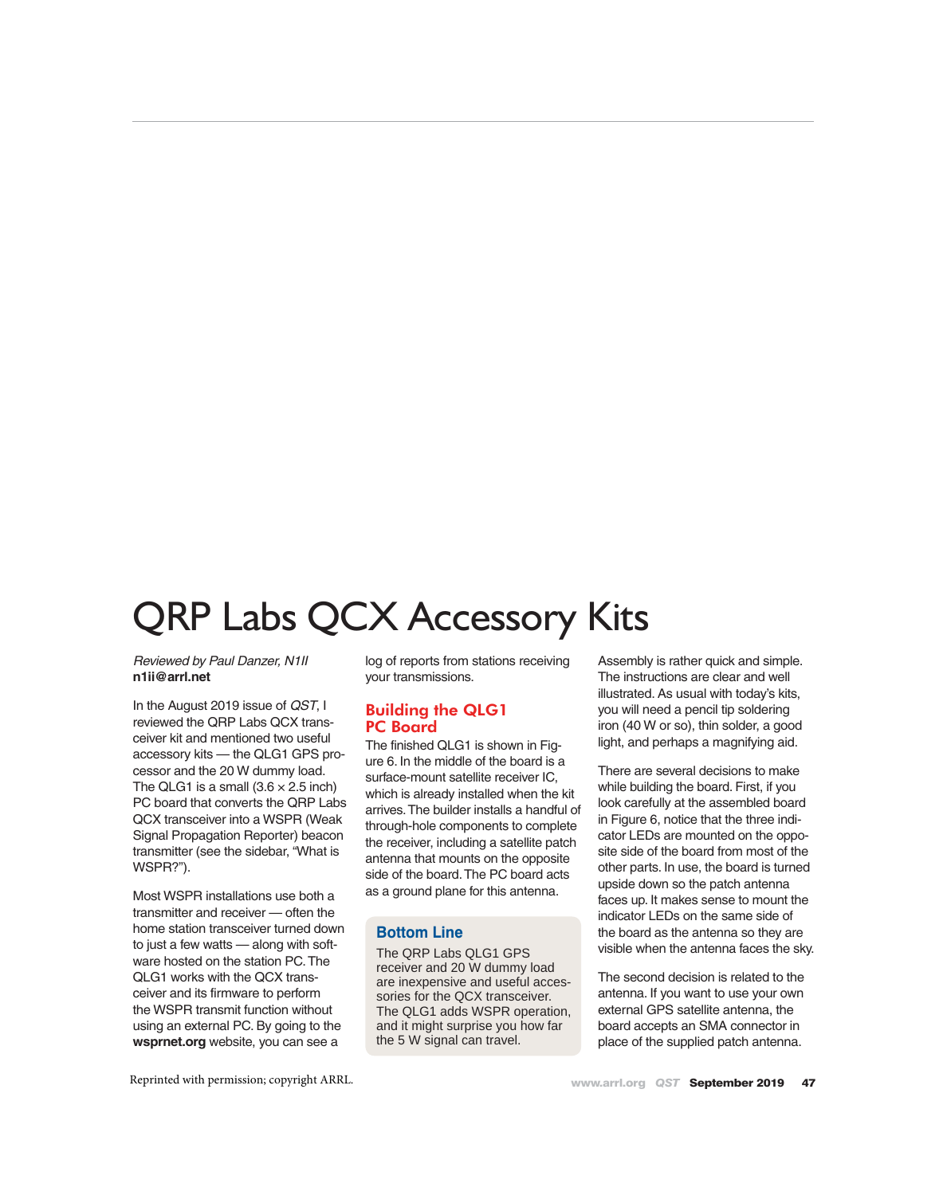# QRP Labs QCX Accessory Kits

#### *Reviewed by Paul Danzer, N1II* **n1ii@arrl.net**

In the August 2019 issue of *QST*, I reviewed the QRP Labs QCX transceiver kit and mentioned two useful accessory kits — the QLG1 GPS processor and the 20 W dummy load. The QLG1 is a small  $(3.6 \times 2.5 \text{ inch})$ PC board that converts the QRP Labs QCX transceiver into a WSPR (Weak Signal Propagation Reporter) beacon transmitter (see the sidebar, "What is WSPR?").

Most WSPR installations use both a transmitter and receiver — often the home station transceiver turned down to just a few watts — along with software hosted on the station PC. The QLG1 works with the QCX transceiver and its firmware to perform the WSPR transmit function without using an external PC. By going to the **wsprnet.org** website, you can see a

log of reports from stations receiving your transmissions.

### Building the QLG1 PC Board

The finished QLG1 is shown in Figure 6. In the middle of the board is a surface-mount satellite receiver IC, which is already installed when the kit arrives. The builder installs a handful of through-hole components to complete the receiver, including a satellite patch antenna that mounts on the opposite side of the board. The PC board acts as a ground plane for this antenna.

### **Bottom Line**

The QRP Labs QLG1 GPS receiver and 20 W dummy load are inexpensive and useful accessories for the QCX transceiver. The QLG1 adds WSPR operation, and it might surprise you how far the 5 W signal can travel.

Assembly is rather quick and simple. The instructions are clear and well illustrated. As usual with today's kits, you will need a pencil tip soldering iron (40 W or so), thin solder, a good light, and perhaps a magnifying aid.

There are several decisions to make while building the board. First, if you look carefully at the assembled board in Figure 6, notice that the three indicator LEDs are mounted on the opposite side of the board from most of the other parts. In use, the board is turned upside down so the patch antenna faces up. It makes sense to mount the indicator LEDs on the same side of the board as the antenna so they are visible when the antenna faces the sky.

The second decision is related to the antenna. If you want to use your own external GPS satellite antenna, the board accepts an SMA connector in place of the supplied patch antenna.

Reprinted with permission; copyright ARRL.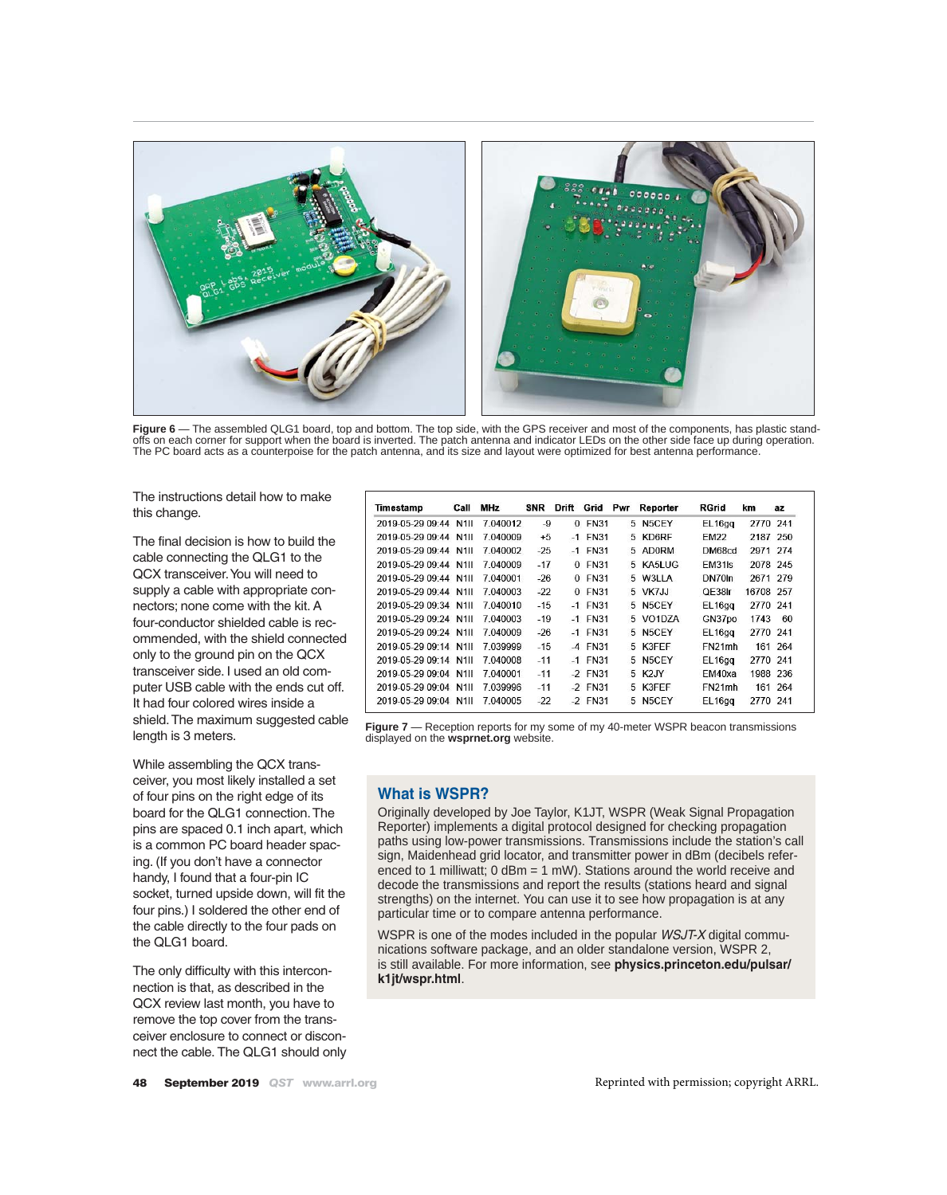

Figure 6 — The assembled QLG1 board, top and bottom. The top side, with the GPS receiver and most of the components, has plastic standoffs on each corner for support when the board is inverted. The patch antenna and indicator LEDs on the other side face up during operation. The PC board acts as a counterpoise for the patch antenna, and its size and layout were optimized for best antenna performance.

The instructions detail how to make this change.

The final decision is how to build the cable connecting the QLG1 to the QCX transceiver. You will need to supply a cable with appropriate connectors; none come with the kit. A four-conductor shielded cable is recommended, with the shield connected only to the ground pin on the QCX transceiver side. I used an old computer USB cable with the ends cut off. It had four colored wires inside a shield. The maximum suggested cable length is 3 meters.

While assembling the QCX transceiver, you most likely installed a set of four pins on the right edge of its board for the QLG1 connection. The pins are spaced 0.1 inch apart, which is a common PC board header spacing. (If you don't have a connector handy, I found that a four-pin IC socket, turned upside down, will fit the four pins.) I soldered the other end of the cable directly to the four pads on the QLG1 board.

The only difficulty with this interconnection is that, as described in the QCX review last month, you have to remove the top cover from the transceiver enclosure to connect or disconnect the cable. The QLG1 should only

| Timestamp             | Call  | <b>MHz</b> | <b>SNR</b> | Drift    | Grid        | Pwr | Reporter           | RGrid               | km        | az      |
|-----------------------|-------|------------|------------|----------|-------------|-----|--------------------|---------------------|-----------|---------|
| 2019-05-29 09:44      | N1II  | 7 040012   | -9         | $\Omega$ | <b>FN31</b> | 5.  | N5CEY              | EL16gq              | 2770      | 241     |
| 2019-05-29 09:44      | N1II. | 7.040009   | $+5$       | $-1$     | <b>FN31</b> | 5.  | KD6RF              | EM22                | 2187 250  |         |
| 2019-05-29 09:44 N1II |       | 7 040002   | $-25$      |          | $-1$ FN31   |     | 5 AD0RM            | DM68cd              | 2971 274  |         |
| 2019-05-29 09:44 N1II |       | 7 040009   | $-17$      | $\Omega$ | <b>FN31</b> | 5   | KA5LUG             | EM31 <sub>Is</sub>  | 2078 245  |         |
| 2019-05-29 09:44 N1II |       | 7 040001   | $-26$      |          | 0 FN31      | 5   | W3LLA              | DN70 <sub>In</sub>  | 2671 279  |         |
| 2019-05-29 09:44 N1II |       | 7 040003   | $-22$      | $\Omega$ | FN31        |     | 5 VK7JJ            | QE38Ir              | 16708 257 |         |
| 2019-05-29 09:34 N1II |       | 7040010    | $-15$      |          | $-1$ FN31   |     | 5 N5CEY            | EL16gg              | 2770 241  |         |
| 2019-05-29 09:24 N1II |       | 7 040003   | $-19$      |          | $-1$ FN31   |     | 5 VO1DZA           | GN37po              | 1743      | 60      |
| 2019-05-29 09:24 N1II |       | 7040009    | $-26$      |          | $-1$ FN31   | 5   | N5CEY              | EL <sub>16gg</sub>  | 2770 241  |         |
| 2019-05-29 09:14 N1II |       | 7 039999   | $-15$      |          | $-4$ FN31   |     | 5 K3FFF            | FN <sub>21</sub> mh |           | 161 264 |
| 2019-05-29 09:14      | N1II  | 7 040008   | $-11$      |          | $-1$ FN31   | 5   | N <sub>5</sub> CFY | EL <sub>16gg</sub>  | 2770      | 241     |
| 2019-05-29 09:04 N1II |       | 7 040001   | $-11$      |          | $-2$ FN31   | 5.  | K <sub>2</sub> JY  | FM40xa              | 1988 236  |         |
| 2019-05-29 09:04 N1II |       | 7 039996   | $-11$      |          | $-2$ FN31   |     | 5 K3FFF            | FN <sub>21</sub> mh |           | 161 264 |
| 2019-05-29 09:04      | N111  | 7 040005   | $-22$      |          | $-2$ FN31   | 5.  | N5CEY              | EL <sub>16gg</sub>  | 2770 241  |         |

**Figure 7** — Reception reports for my some of my 40-meter WSPR beacon transmissions displayed on the **wsprnet.org** website.

### **What is WSPR?**

Originally developed by Joe Taylor, K1JT, WSPR (Weak Signal Propagation Reporter) implements a digital protocol designed for checking propagation paths using low-power transmissions. Transmissions include the station's call sign, Maidenhead grid locator, and transmitter power in dBm (decibels referenced to 1 milliwatt; 0 dBm = 1 mW). Stations around the world receive and decode the transmissions and report the results (stations heard and signal strengths) on the internet. You can use it to see how propagation is at any particular time or to compare antenna performance.

WSPR is one of the modes included in the popular *WSJT-X* digital communications software package, and an older standalone version, WSPR 2, is still available. For more information, see **physics.princeton.edu/pulsar/ k1jt/wspr.html**.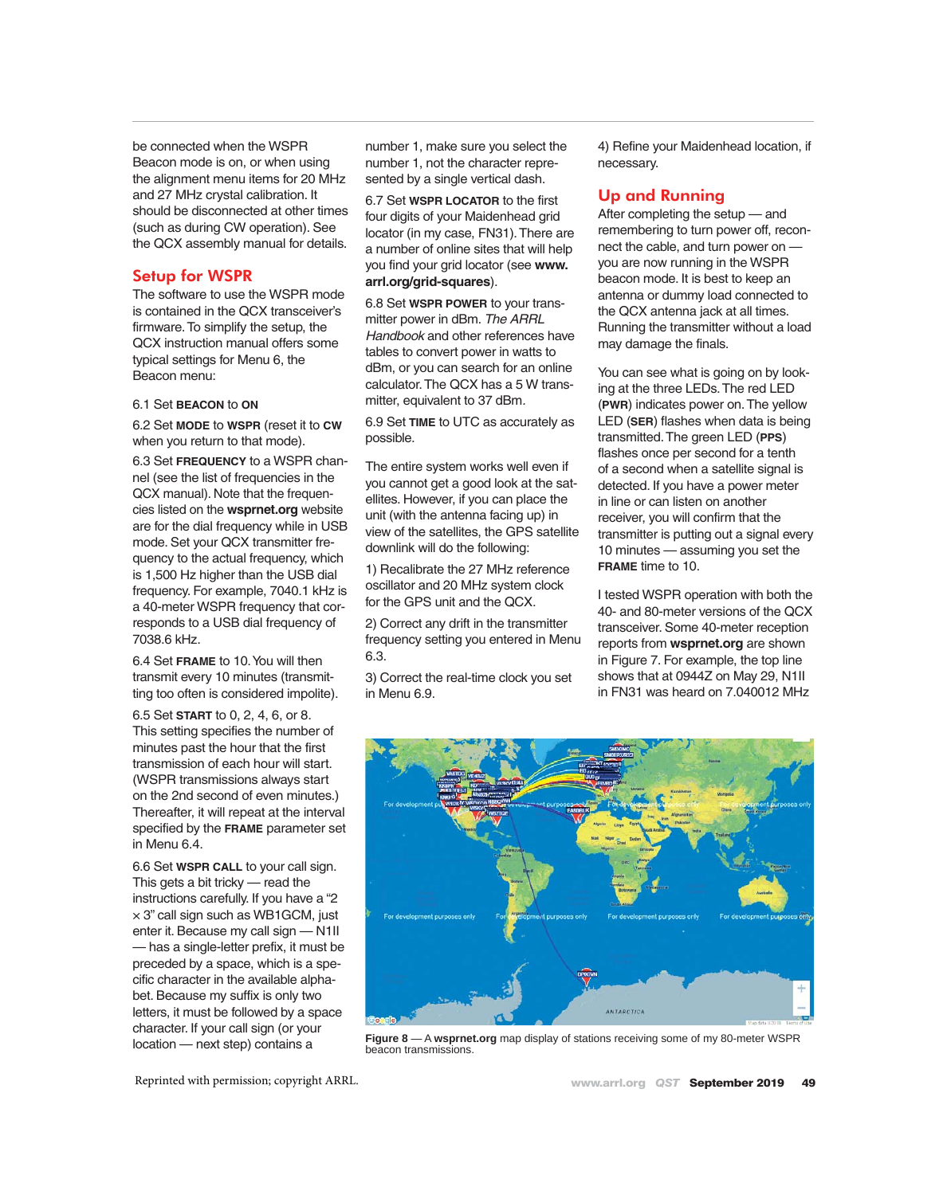be connected when the WSPR Beacon mode is on, or when using the alignment menu items for 20 MHz and 27 MHz crystal calibration. It should be disconnected at other times (such as during CW operation). See the QCX assembly manual for details.

### Setup for WSPR

The software to use the WSPR mode is contained in the QCX transceiver's firmware. To simplify the setup, the QCX instruction manual offers some typical settings for Menu 6, the Beacon menu:

#### 6.1 Set **BEACON** to **ON**

6.2 Set **MODE** to **WSPR** (reset it to **CW** when you return to that mode).

6.3 Set **FREQUENCY** to a WSPR channel (see the list of frequencies in the QCX manual). Note that the frequencies listed on the **wsprnet.org** website are for the dial frequency while in USB mode. Set your QCX transmitter frequency to the actual frequency, which is 1,500 Hz higher than the USB dial frequency. For example, 7040.1 kHz is a 40-meter WSPR frequency that corresponds to a USB dial frequency of 7038.6 kHz.

6.4 Set **FRAME** to 10. You will then transmit every 10 minutes (transmitting too often is considered impolite).

6.5 Set **START** to 0, 2, 4, 6, or 8. This setting specifies the number of minutes past the hour that the first transmission of each hour will start. (WSPR transmissions always start on the 2nd second of even minutes.) Thereafter, it will repeat at the interval specified by the **FRAME** parameter set in Menu 6.4.

6.6 Set **WSPR CALL** to your call sign. This gets a bit tricky — read the instructions carefully. If you have a "2  $\times$  3" call sign such as WB1GCM, just enter it. Because my call sign — N1II — has a single-letter prefix, it must be preceded by a space, which is a specific character in the available alphabet. Because my suffix is only two letters, it must be followed by a space character. If your call sign (or your

number 1, make sure you select the number 1, not the character represented by a single vertical dash.

6.7 Set **WSPR LOCATOR** to the first four digits of your Maidenhead grid locator (in my case, FN31). There are a number of online sites that will help you find your grid locator (see **www. arrl.org/grid-squares**).

6.8 Set **WSPR POWER** to your transmitter power in dBm. *The ARRL Handbook* and other references have tables to convert power in watts to dBm, or you can search for an online calculator. The QCX has a 5 W transmitter, equivalent to 37 dBm*.*

6.9 Set **TIME** to UTC as accurately as possible.

The entire system works well even if you cannot get a good look at the satellites. However, if you can place the unit (with the antenna facing up) in view of the satellites, the GPS satellite downlink will do the following:

1) Recalibrate the 27 MHz reference oscillator and 20 MHz system clock for the GPS unit and the QCX.

2) Correct any drift in the transmitter frequency setting you entered in Menu 6.3.

3) Correct the real-time clock you set in Menu 6.9.

4) Refine your Maidenhead location, if necessary.

### Up and Running

After completing the setup — and remembering to turn power off, reconnect the cable, and turn power on you are now running in the WSPR beacon mode. It is best to keep an antenna or dummy load connected to the QCX antenna jack at all times. Running the transmitter without a load may damage the finals.

You can see what is going on by looking at the three LEDs. The red LED (**PWR**) indicates power on. The yellow LED (**SER**) flashes when data is being transmitted. The green LED (**PPS**) flashes once per second for a tenth of a second when a satellite signal is detected. If you have a power meter in line or can listen on another receiver, you will confirm that the transmitter is putting out a signal every 10 minutes — assuming you set the **FRAME** time to 10.

I tested WSPR operation with both the 40- and 80-meter versions of the QCX transceiver. Some 40-meter reception reports from **wsprnet.org** are shown in Figure 7. For example, the top line shows that at 0944Z on May 29, N1II in FN31 was heard on 7.040012 MHz



location — next step) contains a **Figure 8** — A **wsprnet.org** map display of stations receiving some of my 80-meter WSPR beacon transmissions.

Reprinted with permission; copyright ARRL.